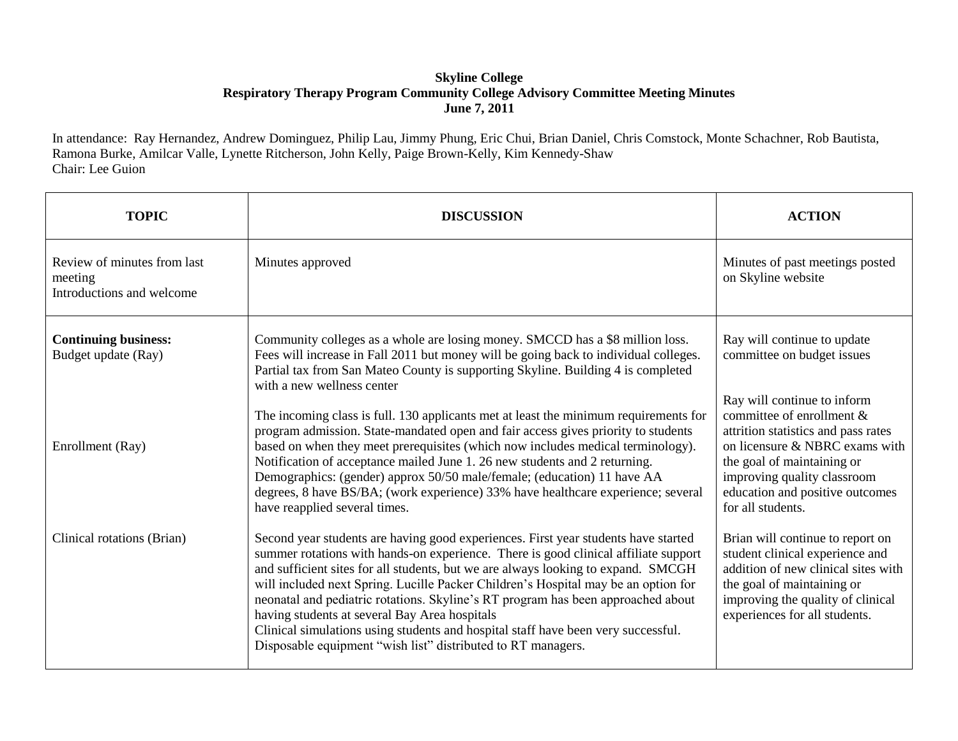## **Skyline College Respiratory Therapy Program Community College Advisory Committee Meeting Minutes June 7, 2011**

In attendance: Ray Hernandez, Andrew Dominguez, Philip Lau, Jimmy Phung, Eric Chui, Brian Daniel, Chris Comstock, Monte Schachner, Rob Bautista, Ramona Burke, Amilcar Valle, Lynette Ritcherson, John Kelly, Paige Brown-Kelly, Kim Kennedy-Shaw Chair: Lee Guion

| <b>TOPIC</b>                                                        | <b>DISCUSSION</b>                                                                                                                                                                                                                                                                                                                                                                                                                                                                                                                                                                                                                              | <b>ACTION</b>                                                                                                                                                                                                                                          |
|---------------------------------------------------------------------|------------------------------------------------------------------------------------------------------------------------------------------------------------------------------------------------------------------------------------------------------------------------------------------------------------------------------------------------------------------------------------------------------------------------------------------------------------------------------------------------------------------------------------------------------------------------------------------------------------------------------------------------|--------------------------------------------------------------------------------------------------------------------------------------------------------------------------------------------------------------------------------------------------------|
| Review of minutes from last<br>meeting<br>Introductions and welcome | Minutes approved                                                                                                                                                                                                                                                                                                                                                                                                                                                                                                                                                                                                                               | Minutes of past meetings posted<br>on Skyline website                                                                                                                                                                                                  |
| <b>Continuing business:</b><br>Budget update (Ray)                  | Community colleges as a whole are losing money. SMCCD has a \$8 million loss.<br>Fees will increase in Fall 2011 but money will be going back to individual colleges.<br>Partial tax from San Mateo County is supporting Skyline. Building 4 is completed<br>with a new wellness center                                                                                                                                                                                                                                                                                                                                                        | Ray will continue to update<br>committee on budget issues                                                                                                                                                                                              |
| Enrollment (Ray)                                                    | The incoming class is full. 130 applicants met at least the minimum requirements for<br>program admission. State-mandated open and fair access gives priority to students<br>based on when they meet prerequisites (which now includes medical terminology).<br>Notification of acceptance mailed June 1. 26 new students and 2 returning.<br>Demographics: (gender) approx 50/50 male/female; (education) 11 have AA<br>degrees, 8 have BS/BA; (work experience) 33% have healthcare experience; several<br>have reapplied several times.                                                                                                     | Ray will continue to inform<br>committee of enrollment &<br>attrition statistics and pass rates<br>on licensure & NBRC exams with<br>the goal of maintaining or<br>improving quality classroom<br>education and positive outcomes<br>for all students. |
| Clinical rotations (Brian)                                          | Second year students are having good experiences. First year students have started<br>summer rotations with hands-on experience. There is good clinical affiliate support<br>and sufficient sites for all students, but we are always looking to expand. SMCGH<br>will included next Spring. Lucille Packer Children's Hospital may be an option for<br>neonatal and pediatric rotations. Skyline's RT program has been approached about<br>having students at several Bay Area hospitals<br>Clinical simulations using students and hospital staff have been very successful.<br>Disposable equipment "wish list" distributed to RT managers. | Brian will continue to report on<br>student clinical experience and<br>addition of new clinical sites with<br>the goal of maintaining or<br>improving the quality of clinical<br>experiences for all students.                                         |